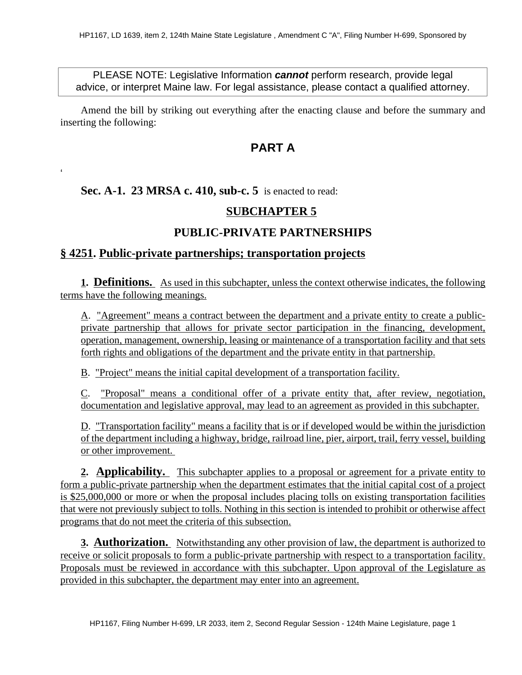PLEASE NOTE: Legislative Information **cannot** perform research, provide legal advice, or interpret Maine law. For legal assistance, please contact a qualified attorney.

Amend the bill by striking out everything after the enacting clause and before the summary and inserting the following:

## **PART A**

#### **Sec. A-1. 23 MRSA c. 410, sub-c. 5** is enacted to read:

'

### **SUBCHAPTER 5**

## **PUBLIC-PRIVATE PARTNERSHIPS**

#### **§ 4251. Public-private partnerships; transportation projects**

**1. Definitions.** As used in this subchapter, unless the context otherwise indicates, the following terms have the following meanings.

A. "Agreement" means a contract between the department and a private entity to create a publicprivate partnership that allows for private sector participation in the financing, development, operation, management, ownership, leasing or maintenance of a transportation facility and that sets forth rights and obligations of the department and the private entity in that partnership.

B. "Project" means the initial capital development of a transportation facility.

C. "Proposal" means a conditional offer of a private entity that, after review, negotiation, documentation and legislative approval, may lead to an agreement as provided in this subchapter.

D. "Transportation facility" means a facility that is or if developed would be within the jurisdiction of the department including a highway, bridge, railroad line, pier, airport, trail, ferry vessel, building or other improvement.

**2. Applicability.** This subchapter applies to a proposal or agreement for a private entity to form a public-private partnership when the department estimates that the initial capital cost of a project is \$25,000,000 or more or when the proposal includes placing tolls on existing transportation facilities that were not previously subject to tolls. Nothing in this section is intended to prohibit or otherwise affect programs that do not meet the criteria of this subsection.

**3. Authorization.** Notwithstanding any other provision of law, the department is authorized to receive or solicit proposals to form a public-private partnership with respect to a transportation facility. Proposals must be reviewed in accordance with this subchapter. Upon approval of the Legislature as provided in this subchapter, the department may enter into an agreement.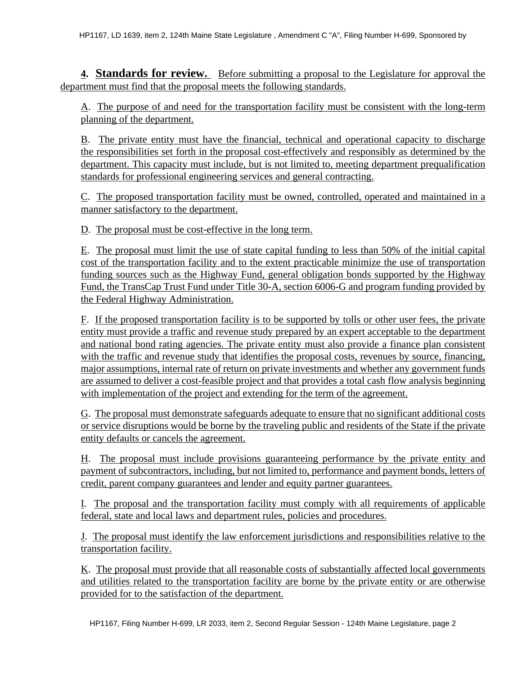**4. Standards for review.** Before submitting a proposal to the Legislature for approval the department must find that the proposal meets the following standards.

A. The purpose of and need for the transportation facility must be consistent with the long-term planning of the department.

B. The private entity must have the financial, technical and operational capacity to discharge the responsibilities set forth in the proposal cost-effectively and responsibly as determined by the department. This capacity must include, but is not limited to, meeting department prequalification standards for professional engineering services and general contracting.

C. The proposed transportation facility must be owned, controlled, operated and maintained in a manner satisfactory to the department.

D. The proposal must be cost-effective in the long term.

E. The proposal must limit the use of state capital funding to less than 50% of the initial capital cost of the transportation facility and to the extent practicable minimize the use of transportation funding sources such as the Highway Fund, general obligation bonds supported by the Highway Fund, the TransCap Trust Fund under Title 30-A, section 6006-G and program funding provided by the Federal Highway Administration.

F. If the proposed transportation facility is to be supported by tolls or other user fees, the private entity must provide a traffic and revenue study prepared by an expert acceptable to the department and national bond rating agencies. The private entity must also provide a finance plan consistent with the traffic and revenue study that identifies the proposal costs, revenues by source, financing, major assumptions, internal rate of return on private investments and whether any government funds are assumed to deliver a cost-feasible project and that provides a total cash flow analysis beginning with implementation of the project and extending for the term of the agreement.

G. The proposal must demonstrate safeguards adequate to ensure that no significant additional costs or service disruptions would be borne by the traveling public and residents of the State if the private entity defaults or cancels the agreement.

H. The proposal must include provisions guaranteeing performance by the private entity and payment of subcontractors, including, but not limited to, performance and payment bonds, letters of credit, parent company guarantees and lender and equity partner guarantees.

I. The proposal and the transportation facility must comply with all requirements of applicable federal, state and local laws and department rules, policies and procedures.

J. The proposal must identify the law enforcement jurisdictions and responsibilities relative to the transportation facility.

K. The proposal must provide that all reasonable costs of substantially affected local governments and utilities related to the transportation facility are borne by the private entity or are otherwise provided for to the satisfaction of the department.

HP1167, Filing Number H-699, LR 2033, item 2, Second Regular Session - 124th Maine Legislature, page 2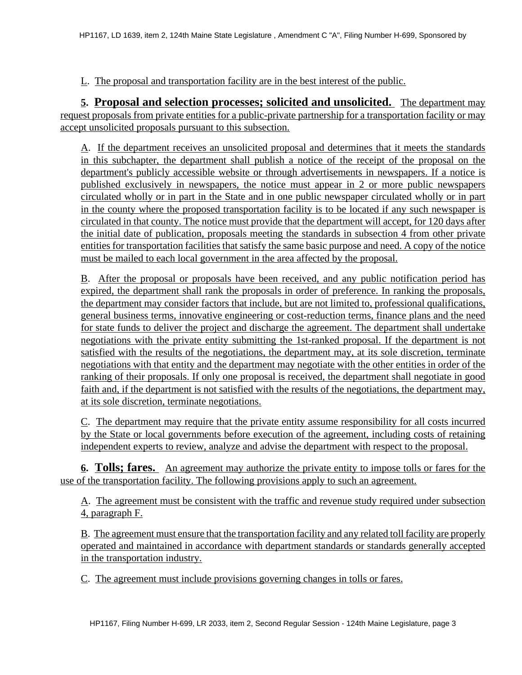L. The proposal and transportation facility are in the best interest of the public.

**5. Proposal and selection processes; solicited and unsolicited.** The department may request proposals from private entities for a public-private partnership for a transportation facility or may accept unsolicited proposals pursuant to this subsection.

A. If the department receives an unsolicited proposal and determines that it meets the standards in this subchapter, the department shall publish a notice of the receipt of the proposal on the department's publicly accessible website or through advertisements in newspapers. If a notice is published exclusively in newspapers, the notice must appear in 2 or more public newspapers circulated wholly or in part in the State and in one public newspaper circulated wholly or in part in the county where the proposed transportation facility is to be located if any such newspaper is circulated in that county. The notice must provide that the department will accept, for 120 days after the initial date of publication, proposals meeting the standards in subsection 4 from other private entities for transportation facilities that satisfy the same basic purpose and need. A copy of the notice must be mailed to each local government in the area affected by the proposal.

B. After the proposal or proposals have been received, and any public notification period has expired, the department shall rank the proposals in order of preference. In ranking the proposals, the department may consider factors that include, but are not limited to, professional qualifications, general business terms, innovative engineering or cost-reduction terms, finance plans and the need for state funds to deliver the project and discharge the agreement. The department shall undertake negotiations with the private entity submitting the 1st-ranked proposal. If the department is not satisfied with the results of the negotiations, the department may, at its sole discretion, terminate negotiations with that entity and the department may negotiate with the other entities in order of the ranking of their proposals. If only one proposal is received, the department shall negotiate in good faith and, if the department is not satisfied with the results of the negotiations, the department may, at its sole discretion, terminate negotiations.

C. The department may require that the private entity assume responsibility for all costs incurred by the State or local governments before execution of the agreement, including costs of retaining independent experts to review, analyze and advise the department with respect to the proposal.

**6. Tolls; fares.** An agreement may authorize the private entity to impose tolls or fares for the use of the transportation facility. The following provisions apply to such an agreement.

A. The agreement must be consistent with the traffic and revenue study required under subsection 4, paragraph F.

B. The agreement must ensure that the transportation facility and any related toll facility are properly operated and maintained in accordance with department standards or standards generally accepted in the transportation industry.

C. The agreement must include provisions governing changes in tolls or fares.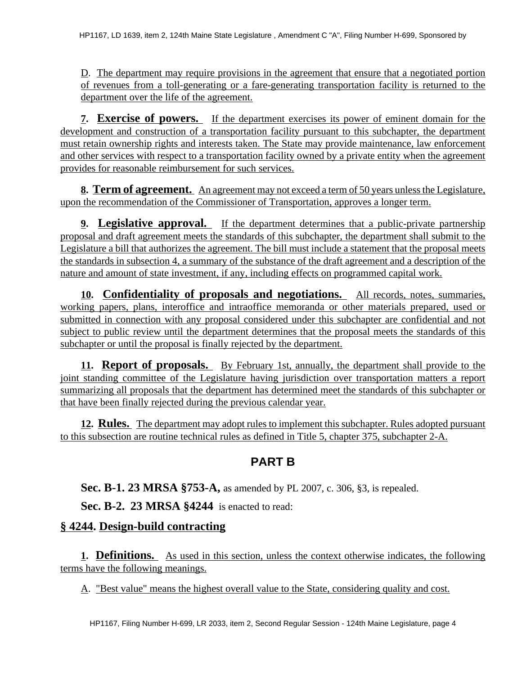D. The department may require provisions in the agreement that ensure that a negotiated portion of revenues from a toll-generating or a fare-generating transportation facility is returned to the department over the life of the agreement.

**7. Exercise of powers.** If the department exercises its power of eminent domain for the development and construction of a transportation facility pursuant to this subchapter, the department must retain ownership rights and interests taken. The State may provide maintenance, law enforcement and other services with respect to a transportation facility owned by a private entity when the agreement provides for reasonable reimbursement for such services.

**8. Term of agreement.** An agreement may not exceed a term of 50 years unless the Legislature, upon the recommendation of the Commissioner of Transportation, approves a longer term.

**9. Legislative approval.** If the department determines that a public-private partnership proposal and draft agreement meets the standards of this subchapter, the department shall submit to the Legislature a bill that authorizes the agreement. The bill must include a statement that the proposal meets the standards in subsection 4, a summary of the substance of the draft agreement and a description of the nature and amount of state investment, if any, including effects on programmed capital work.

**10. Confidentiality of proposals and negotiations.** All records, notes, summaries, working papers, plans, interoffice and intraoffice memoranda or other materials prepared, used or submitted in connection with any proposal considered under this subchapter are confidential and not subject to public review until the department determines that the proposal meets the standards of this subchapter or until the proposal is finally rejected by the department.

**11. Report of proposals.** By February 1st, annually, the department shall provide to the joint standing committee of the Legislature having jurisdiction over transportation matters a report summarizing all proposals that the department has determined meet the standards of this subchapter or that have been finally rejected during the previous calendar year.

**12. Rules.** The department may adopt rules to implement this subchapter. Rules adopted pursuant to this subsection are routine technical rules as defined in Title 5, chapter 375, subchapter 2-A.

# **PART B**

**Sec. B-1. 23 MRSA §753-A,** as amended by PL 2007, c. 306, §3, is repealed.

**Sec. B-2. 23 MRSA §4244** is enacted to read:

## **§ 4244. Design-build contracting**

**1. Definitions.** As used in this section, unless the context otherwise indicates, the following terms have the following meanings.

A. "Best value" means the highest overall value to the State, considering quality and cost.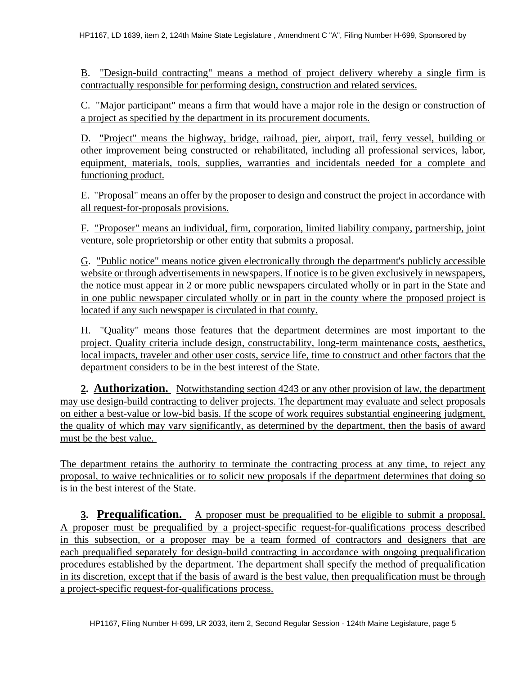B. "Design-build contracting" means a method of project delivery whereby a single firm is contractually responsible for performing design, construction and related services.

C. "Major participant" means a firm that would have a major role in the design or construction of a project as specified by the department in its procurement documents.

D. "Project" means the highway, bridge, railroad, pier, airport, trail, ferry vessel, building or other improvement being constructed or rehabilitated, including all professional services, labor, equipment, materials, tools, supplies, warranties and incidentals needed for a complete and functioning product.

E. "Proposal" means an offer by the proposer to design and construct the project in accordance with all request-for-proposals provisions.

F. "Proposer" means an individual, firm, corporation, limited liability company, partnership, joint venture, sole proprietorship or other entity that submits a proposal.

G. "Public notice" means notice given electronically through the department's publicly accessible website or through advertisements in newspapers. If notice is to be given exclusively in newspapers, the notice must appear in 2 or more public newspapers circulated wholly or in part in the State and in one public newspaper circulated wholly or in part in the county where the proposed project is located if any such newspaper is circulated in that county.

H. "Quality" means those features that the department determines are most important to the project. Quality criteria include design, constructability, long-term maintenance costs, aesthetics, local impacts, traveler and other user costs, service life, time to construct and other factors that the department considers to be in the best interest of the State.

**2. Authorization.** Notwithstanding section 4243 or any other provision of law, the department may use design-build contracting to deliver projects. The department may evaluate and select proposals on either a best-value or low-bid basis. If the scope of work requires substantial engineering judgment, the quality of which may vary significantly, as determined by the department, then the basis of award must be the best value.

The department retains the authority to terminate the contracting process at any time, to reject any proposal, to waive technicalities or to solicit new proposals if the department determines that doing so is in the best interest of the State.

**3. Prequalification.** A proposer must be prequalified to be eligible to submit a proposal. A proposer must be prequalified by a project-specific request-for-qualifications process described in this subsection, or a proposer may be a team formed of contractors and designers that are each prequalified separately for design-build contracting in accordance with ongoing prequalification procedures established by the department. The department shall specify the method of prequalification in its discretion, except that if the basis of award is the best value, then prequalification must be through a project-specific request-for-qualifications process.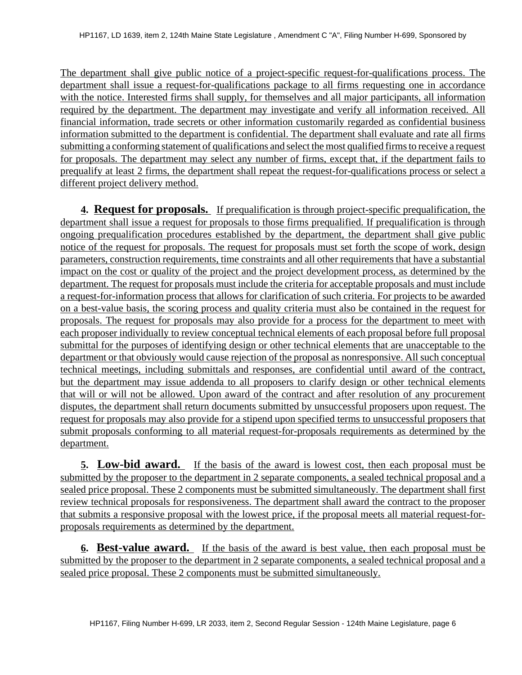The department shall give public notice of a project-specific request-for-qualifications process. The department shall issue a request-for-qualifications package to all firms requesting one in accordance with the notice. Interested firms shall supply, for themselves and all major participants, all information required by the department. The department may investigate and verify all information received. All financial information, trade secrets or other information customarily regarded as confidential business information submitted to the department is confidential. The department shall evaluate and rate all firms submitting a conforming statement of qualifications and select the most qualified firms to receive a request for proposals. The department may select any number of firms, except that, if the department fails to prequalify at least 2 firms, the department shall repeat the request-for-qualifications process or select a different project delivery method.

**4. Request for proposals.** If prequalification is through project-specific prequalification, the department shall issue a request for proposals to those firms prequalified. If prequalification is through ongoing prequalification procedures established by the department, the department shall give public notice of the request for proposals. The request for proposals must set forth the scope of work, design parameters, construction requirements, time constraints and all other requirements that have a substantial impact on the cost or quality of the project and the project development process, as determined by the department. The request for proposals must include the criteria for acceptable proposals and must include a request-for-information process that allows for clarification of such criteria. For projects to be awarded on a best-value basis, the scoring process and quality criteria must also be contained in the request for proposals. The request for proposals may also provide for a process for the department to meet with each proposer individually to review conceptual technical elements of each proposal before full proposal submittal for the purposes of identifying design or other technical elements that are unacceptable to the department or that obviously would cause rejection of the proposal as nonresponsive. All such conceptual technical meetings, including submittals and responses, are confidential until award of the contract, but the department may issue addenda to all proposers to clarify design or other technical elements that will or will not be allowed. Upon award of the contract and after resolution of any procurement disputes, the department shall return documents submitted by unsuccessful proposers upon request. The request for proposals may also provide for a stipend upon specified terms to unsuccessful proposers that submit proposals conforming to all material request-for-proposals requirements as determined by the department.

**5. Low-bid award.** If the basis of the award is lowest cost, then each proposal must be submitted by the proposer to the department in 2 separate components, a sealed technical proposal and a sealed price proposal. These 2 components must be submitted simultaneously. The department shall first review technical proposals for responsiveness. The department shall award the contract to the proposer that submits a responsive proposal with the lowest price, if the proposal meets all material request-forproposals requirements as determined by the department.

**6. Best-value award.** If the basis of the award is best value, then each proposal must be submitted by the proposer to the department in 2 separate components, a sealed technical proposal and a sealed price proposal. These 2 components must be submitted simultaneously.